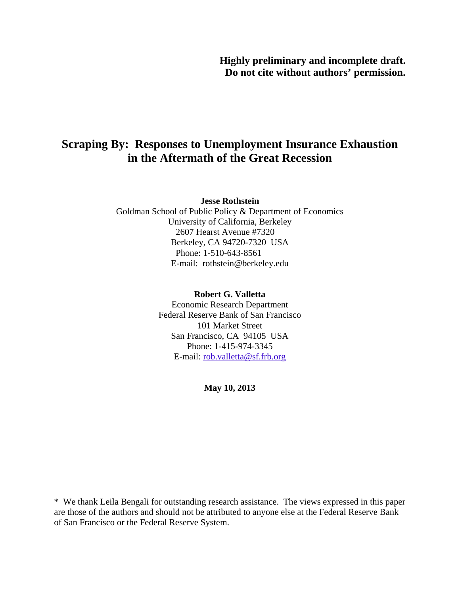# **Scraping By: Responses to Unemployment Insurance Exhaustion in the Aftermath of the Great Recession**

#### **Jesse Rothstein**

Goldman School of Public Policy & Department of Economics University of California, Berkeley 2607 Hearst Avenue #7320 Berkeley, CA 94720-7320 USA Phone: 1-510-643-8561 E-mail: rothstein@berkeley.edu

#### **Robert G. Valletta**

Economic Research Department Federal Reserve Bank of San Francisco 101 Market Street San Francisco, CA 94105 USA Phone: 1-415-974-3345 E-mail: rob.valletta@sf.frb.org

**May 10, 2013** 

\* We thank Leila Bengali for outstanding research assistance. The views expressed in this paper are those of the authors and should not be attributed to anyone else at the Federal Reserve Bank of San Francisco or the Federal Reserve System.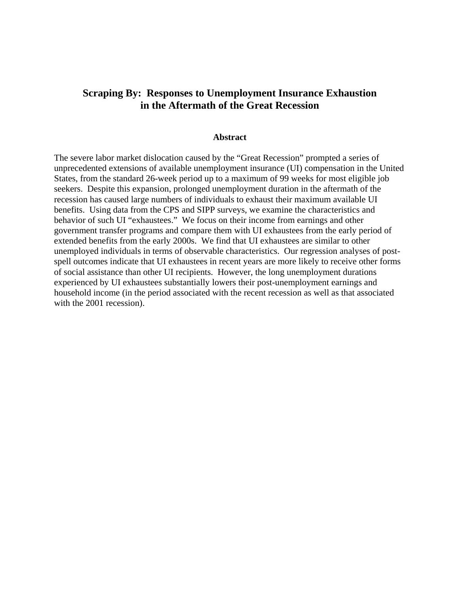## **Scraping By: Responses to Unemployment Insurance Exhaustion in the Aftermath of the Great Recession**

#### **Abstract**

The severe labor market dislocation caused by the "Great Recession" prompted a series of unprecedented extensions of available unemployment insurance (UI) compensation in the United States, from the standard 26-week period up to a maximum of 99 weeks for most eligible job seekers. Despite this expansion, prolonged unemployment duration in the aftermath of the recession has caused large numbers of individuals to exhaust their maximum available UI benefits. Using data from the CPS and SIPP surveys, we examine the characteristics and behavior of such UI "exhaustees." We focus on their income from earnings and other government transfer programs and compare them with UI exhaustees from the early period of extended benefits from the early 2000s. We find that UI exhaustees are similar to other unemployed individuals in terms of observable characteristics. Our regression analyses of postspell outcomes indicate that UI exhaustees in recent years are more likely to receive other forms of social assistance than other UI recipients. However, the long unemployment durations experienced by UI exhaustees substantially lowers their post-unemployment earnings and household income (in the period associated with the recent recession as well as that associated with the 2001 recession).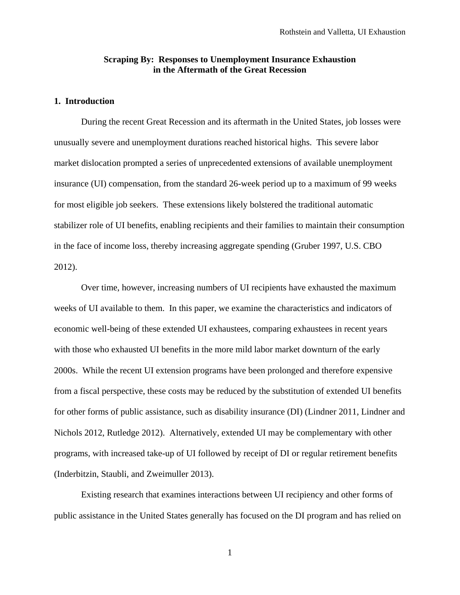#### **Scraping By: Responses to Unemployment Insurance Exhaustion in the Aftermath of the Great Recession**

### **1. Introduction**

During the recent Great Recession and its aftermath in the United States, job losses were unusually severe and unemployment durations reached historical highs. This severe labor market dislocation prompted a series of unprecedented extensions of available unemployment insurance (UI) compensation, from the standard 26-week period up to a maximum of 99 weeks for most eligible job seekers. These extensions likely bolstered the traditional automatic stabilizer role of UI benefits, enabling recipients and their families to maintain their consumption in the face of income loss, thereby increasing aggregate spending (Gruber 1997, U.S. CBO 2012).

Over time, however, increasing numbers of UI recipients have exhausted the maximum weeks of UI available to them. In this paper, we examine the characteristics and indicators of economic well-being of these extended UI exhaustees, comparing exhaustees in recent years with those who exhausted UI benefits in the more mild labor market downturn of the early 2000s. While the recent UI extension programs have been prolonged and therefore expensive from a fiscal perspective, these costs may be reduced by the substitution of extended UI benefits for other forms of public assistance, such as disability insurance (DI) (Lindner 2011, Lindner and Nichols 2012, Rutledge 2012). Alternatively, extended UI may be complementary with other programs, with increased take-up of UI followed by receipt of DI or regular retirement benefits (Inderbitzin, Staubli, and Zweimuller 2013).

Existing research that examines interactions between UI recipiency and other forms of public assistance in the United States generally has focused on the DI program and has relied on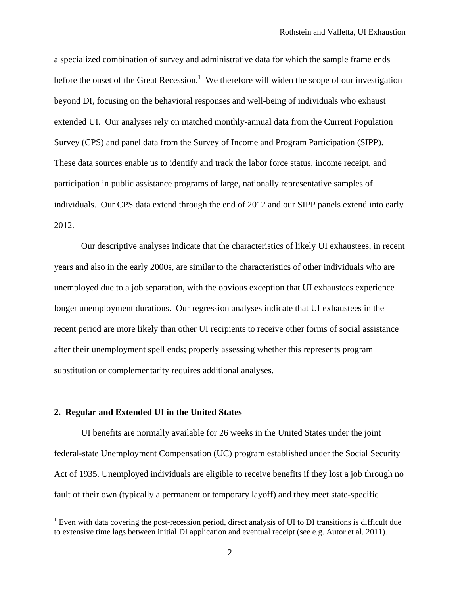a specialized combination of survey and administrative data for which the sample frame ends before the onset of the Great Recession.<sup>1</sup> We therefore will widen the scope of our investigation beyond DI, focusing on the behavioral responses and well-being of individuals who exhaust extended UI. Our analyses rely on matched monthly-annual data from the Current Population Survey (CPS) and panel data from the Survey of Income and Program Participation (SIPP). These data sources enable us to identify and track the labor force status, income receipt, and participation in public assistance programs of large, nationally representative samples of individuals. Our CPS data extend through the end of 2012 and our SIPP panels extend into early 2012.

Our descriptive analyses indicate that the characteristics of likely UI exhaustees, in recent years and also in the early 2000s, are similar to the characteristics of other individuals who are unemployed due to a job separation, with the obvious exception that UI exhaustees experience longer unemployment durations. Our regression analyses indicate that UI exhaustees in the recent period are more likely than other UI recipients to receive other forms of social assistance after their unemployment spell ends; properly assessing whether this represents program substitution or complementarity requires additional analyses.

#### **2. Regular and Extended UI in the United States**

 $\overline{a}$ 

UI benefits are normally available for 26 weeks in the United States under the joint federal-state Unemployment Compensation (UC) program established under the Social Security Act of 1935. Unemployed individuals are eligible to receive benefits if they lost a job through no fault of their own (typically a permanent or temporary layoff) and they meet state-specific

 $1$  Even with data covering the post-recession period, direct analysis of UI to DI transitions is difficult due to extensive time lags between initial DI application and eventual receipt (see e.g. Autor et al. 2011).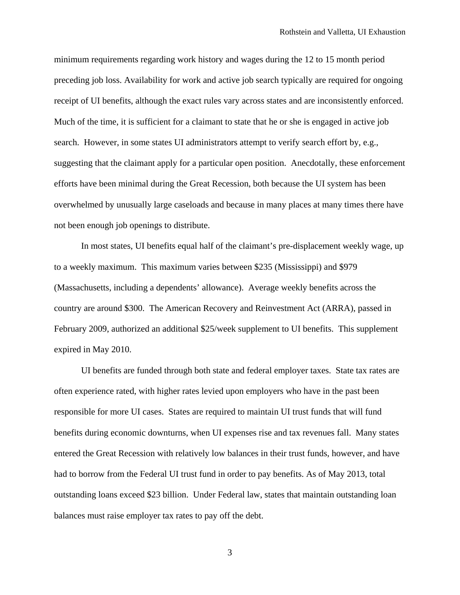minimum requirements regarding work history and wages during the 12 to 15 month period preceding job loss. Availability for work and active job search typically are required for ongoing receipt of UI benefits, although the exact rules vary across states and are inconsistently enforced. Much of the time, it is sufficient for a claimant to state that he or she is engaged in active job search. However, in some states UI administrators attempt to verify search effort by, e.g., suggesting that the claimant apply for a particular open position. Anecdotally, these enforcement efforts have been minimal during the Great Recession, both because the UI system has been overwhelmed by unusually large caseloads and because in many places at many times there have not been enough job openings to distribute.

In most states, UI benefits equal half of the claimant's pre-displacement weekly wage, up to a weekly maximum. This maximum varies between \$235 (Mississippi) and \$979 (Massachusetts, including a dependents' allowance). Average weekly benefits across the country are around \$300. The American Recovery and Reinvestment Act (ARRA), passed in February 2009, authorized an additional \$25/week supplement to UI benefits. This supplement expired in May 2010.

UI benefits are funded through both state and federal employer taxes. State tax rates are often experience rated, with higher rates levied upon employers who have in the past been responsible for more UI cases. States are required to maintain UI trust funds that will fund benefits during economic downturns, when UI expenses rise and tax revenues fall. Many states entered the Great Recession with relatively low balances in their trust funds, however, and have had to borrow from the Federal UI trust fund in order to pay benefits. As of May 2013, total outstanding loans exceed \$23 billion. Under Federal law, states that maintain outstanding loan balances must raise employer tax rates to pay off the debt.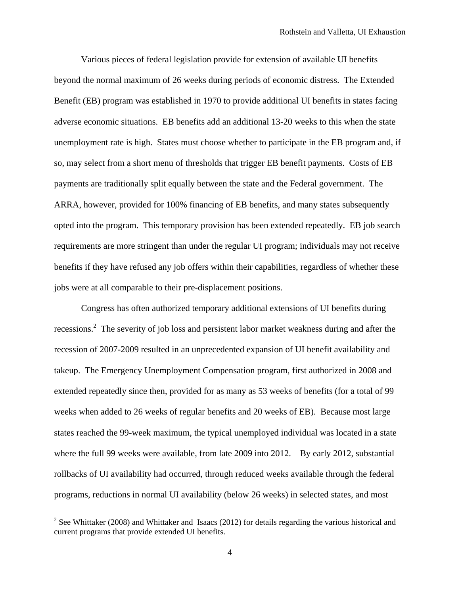Various pieces of federal legislation provide for extension of available UI benefits beyond the normal maximum of 26 weeks during periods of economic distress. The Extended Benefit (EB) program was established in 1970 to provide additional UI benefits in states facing adverse economic situations. EB benefits add an additional 13-20 weeks to this when the state unemployment rate is high. States must choose whether to participate in the EB program and, if so, may select from a short menu of thresholds that trigger EB benefit payments. Costs of EB payments are traditionally split equally between the state and the Federal government. The ARRA, however, provided for 100% financing of EB benefits, and many states subsequently opted into the program. This temporary provision has been extended repeatedly. EB job search requirements are more stringent than under the regular UI program; individuals may not receive benefits if they have refused any job offers within their capabilities, regardless of whether these jobs were at all comparable to their pre-displacement positions.

Congress has often authorized temporary additional extensions of UI benefits during recessions.<sup>2</sup> The severity of job loss and persistent labor market weakness during and after the recession of 2007-2009 resulted in an unprecedented expansion of UI benefit availability and takeup. The Emergency Unemployment Compensation program, first authorized in 2008 and extended repeatedly since then, provided for as many as 53 weeks of benefits (for a total of 99 weeks when added to 26 weeks of regular benefits and 20 weeks of EB). Because most large states reached the 99-week maximum, the typical unemployed individual was located in a state where the full 99 weeks were available, from late 2009 into 2012. By early 2012, substantial rollbacks of UI availability had occurred, through reduced weeks available through the federal programs, reductions in normal UI availability (below 26 weeks) in selected states, and most

<sup>&</sup>lt;sup>2</sup> See Whittaker (2008) and Whittaker and Isaacs (2012) for details regarding the various historical and current programs that provide extended UI benefits.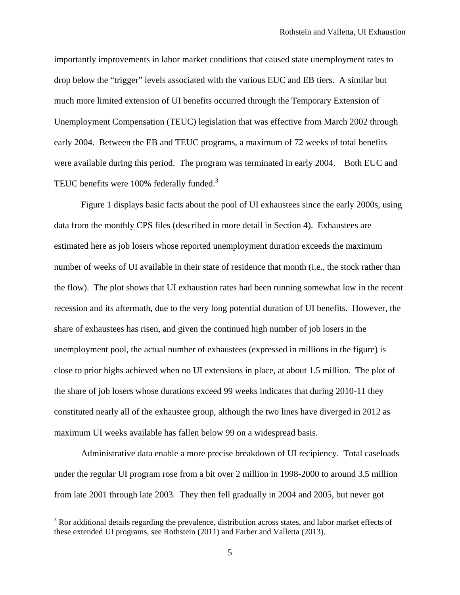importantly improvements in labor market conditions that caused state unemployment rates to drop below the "trigger" levels associated with the various EUC and EB tiers. A similar but much more limited extension of UI benefits occurred through the Temporary Extension of Unemployment Compensation (TEUC) legislation that was effective from March 2002 through early 2004. Between the EB and TEUC programs, a maximum of 72 weeks of total benefits were available during this period. The program was terminated in early 2004. Both EUC and TEUC benefits were 100% federally funded.<sup>3</sup>

Figure 1 displays basic facts about the pool of UI exhaustees since the early 2000s, using data from the monthly CPS files (described in more detail in Section 4). Exhaustees are estimated here as job losers whose reported unemployment duration exceeds the maximum number of weeks of UI available in their state of residence that month (i.e., the stock rather than the flow). The plot shows that UI exhaustion rates had been running somewhat low in the recent recession and its aftermath, due to the very long potential duration of UI benefits. However, the share of exhaustees has risen, and given the continued high number of job losers in the unemployment pool, the actual number of exhaustees (expressed in millions in the figure) is close to prior highs achieved when no UI extensions in place, at about 1.5 million. The plot of the share of job losers whose durations exceed 99 weeks indicates that during 2010-11 they constituted nearly all of the exhaustee group, although the two lines have diverged in 2012 as maximum UI weeks available has fallen below 99 on a widespread basis.

Administrative data enable a more precise breakdown of UI recipiency. Total caseloads under the regular UI program rose from a bit over 2 million in 1998-2000 to around 3.5 million from late 2001 through late 2003. They then fell gradually in 2004 and 2005, but never got

 $3$  Ror additional details regarding the prevalence, distribution across states, and labor market effects of these extended UI programs, see Rothstein (2011) and Farber and Valletta (2013).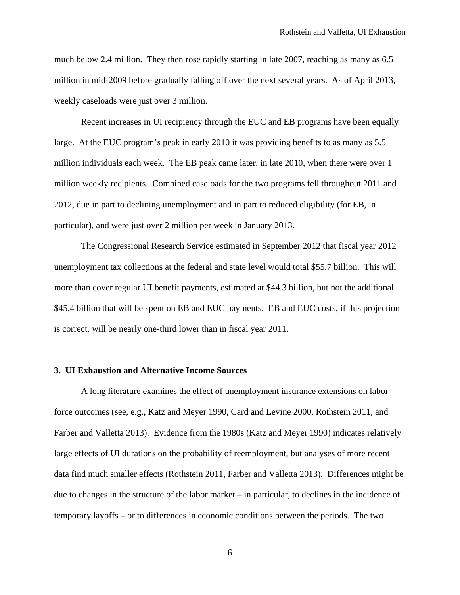much below 2.4 million. They then rose rapidly starting in late 2007, reaching as many as 6.5 million in mid-2009 before gradually falling off over the next several years. As of April 2013, weekly caseloads were just over 3 million.

Recent increases in UI recipiency through the EUC and EB programs have been equally large. At the EUC program's peak in early 2010 it was providing benefits to as many as 5.5 million individuals each week. The EB peak came later, in late 2010, when there were over 1 million weekly recipients. Combined caseloads for the two programs fell throughout 2011 and 2012, due in part to declining unemployment and in part to reduced eligibility (for EB, in particular), and were just over 2 million per week in January 2013.

The Congressional Research Service estimated in September 2012 that fiscal year 2012 unemployment tax collections at the federal and state level would total \$55.7 billion. This will more than cover regular UI benefit payments, estimated at \$44.3 billion, but not the additional \$45.4 billion that will be spent on EB and EUC payments. EB and EUC costs, if this projection is correct, will be nearly one-third lower than in fiscal year 2011.

#### **3. UI Exhaustion and Alternative Income Sources**

 A long literature examines the effect of unemployment insurance extensions on labor force outcomes (see, e.g., Katz and Meyer 1990, Card and Levine 2000, Rothstein 2011, and Farber and Valletta 2013). Evidence from the 1980s (Katz and Meyer 1990) indicates relatively large effects of UI durations on the probability of reemployment, but analyses of more recent data find much smaller effects (Rothstein 2011, Farber and Valletta 2013). Differences might be due to changes in the structure of the labor market – in particular, to declines in the incidence of temporary layoffs – or to differences in economic conditions between the periods. The two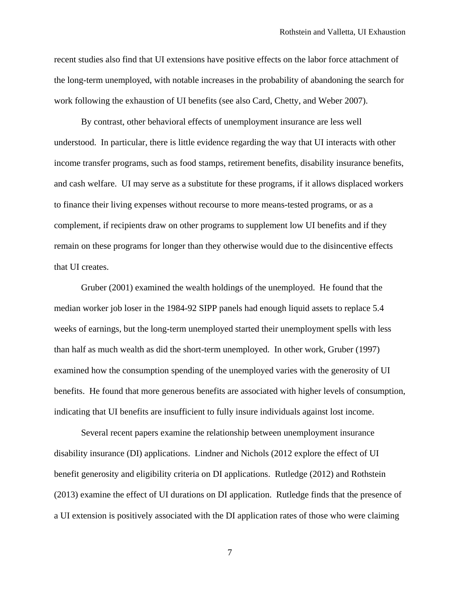recent studies also find that UI extensions have positive effects on the labor force attachment of the long-term unemployed, with notable increases in the probability of abandoning the search for work following the exhaustion of UI benefits (see also Card, Chetty, and Weber 2007).

 By contrast, other behavioral effects of unemployment insurance are less well understood. In particular, there is little evidence regarding the way that UI interacts with other income transfer programs, such as food stamps, retirement benefits, disability insurance benefits, and cash welfare. UI may serve as a substitute for these programs, if it allows displaced workers to finance their living expenses without recourse to more means-tested programs, or as a complement, if recipients draw on other programs to supplement low UI benefits and if they remain on these programs for longer than they otherwise would due to the disincentive effects that UI creates.

 Gruber (2001) examined the wealth holdings of the unemployed. He found that the median worker job loser in the 1984-92 SIPP panels had enough liquid assets to replace 5.4 weeks of earnings, but the long-term unemployed started their unemployment spells with less than half as much wealth as did the short-term unemployed. In other work, Gruber (1997) examined how the consumption spending of the unemployed varies with the generosity of UI benefits. He found that more generous benefits are associated with higher levels of consumption, indicating that UI benefits are insufficient to fully insure individuals against lost income.

 Several recent papers examine the relationship between unemployment insurance disability insurance (DI) applications. Lindner and Nichols (2012 explore the effect of UI benefit generosity and eligibility criteria on DI applications. Rutledge (2012) and Rothstein (2013) examine the effect of UI durations on DI application. Rutledge finds that the presence of a UI extension is positively associated with the DI application rates of those who were claiming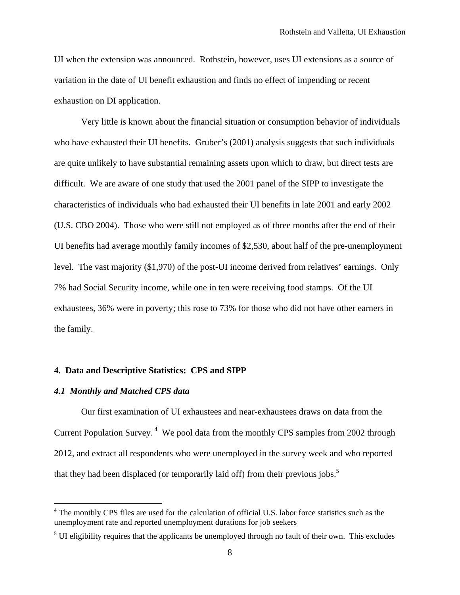UI when the extension was announced. Rothstein, however, uses UI extensions as a source of variation in the date of UI benefit exhaustion and finds no effect of impending or recent exhaustion on DI application.

 Very little is known about the financial situation or consumption behavior of individuals who have exhausted their UI benefits. Gruber's (2001) analysis suggests that such individuals are quite unlikely to have substantial remaining assets upon which to draw, but direct tests are difficult. We are aware of one study that used the 2001 panel of the SIPP to investigate the characteristics of individuals who had exhausted their UI benefits in late 2001 and early 2002 (U.S. CBO 2004). Those who were still not employed as of three months after the end of their UI benefits had average monthly family incomes of \$2,530, about half of the pre-unemployment level. The vast majority (\$1,970) of the post-UI income derived from relatives' earnings. Only 7% had Social Security income, while one in ten were receiving food stamps. Of the UI exhaustees, 36% were in poverty; this rose to 73% for those who did not have other earners in the family.

#### **4. Data and Descriptive Statistics: CPS and SIPP**

#### *4.1 Monthly and Matched CPS data*

 $\overline{a}$ 

Our first examination of UI exhaustees and near-exhaustees draws on data from the Current Population Survey.<sup>4</sup> We pool data from the monthly CPS samples from 2002 through 2012, and extract all respondents who were unemployed in the survey week and who reported that they had been displaced (or temporarily laid off) from their previous jobs.<sup>5</sup>

<sup>&</sup>lt;sup>4</sup> The monthly CPS files are used for the calculation of official U.S. labor force statistics such as the unemployment rate and reported unemployment durations for job seekers

 $<sup>5</sup>$  UI eligibility requires that the applicants be unemployed through no fault of their own. This excludes</sup>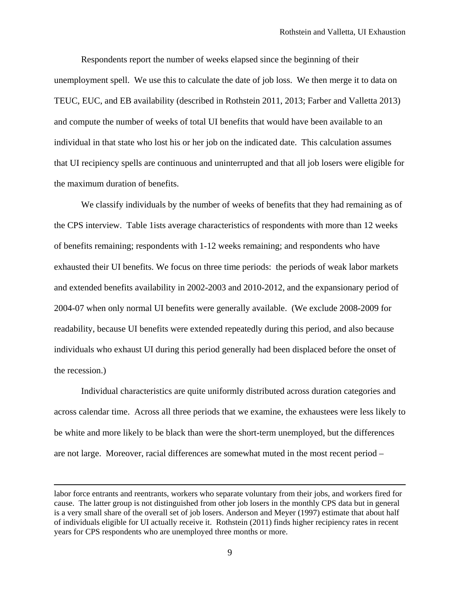Respondents report the number of weeks elapsed since the beginning of their unemployment spell. We use this to calculate the date of job loss. We then merge it to data on TEUC, EUC, and EB availability (described in Rothstein 2011, 2013; Farber and Valletta 2013) and compute the number of weeks of total UI benefits that would have been available to an individual in that state who lost his or her job on the indicated date. This calculation assumes that UI recipiency spells are continuous and uninterrupted and that all job losers were eligible for the maximum duration of benefits.

We classify individuals by the number of weeks of benefits that they had remaining as of the CPS interview. Table 1ists average characteristics of respondents with more than 12 weeks of benefits remaining; respondents with 1-12 weeks remaining; and respondents who have exhausted their UI benefits. We focus on three time periods: the periods of weak labor markets and extended benefits availability in 2002-2003 and 2010-2012, and the expansionary period of 2004-07 when only normal UI benefits were generally available. (We exclude 2008-2009 for readability, because UI benefits were extended repeatedly during this period, and also because individuals who exhaust UI during this period generally had been displaced before the onset of the recession.)

Individual characteristics are quite uniformly distributed across duration categories and across calendar time. Across all three periods that we examine, the exhaustees were less likely to be white and more likely to be black than were the short-term unemployed, but the differences are not large. Moreover, racial differences are somewhat muted in the most recent period –

labor force entrants and reentrants, workers who separate voluntary from their jobs, and workers fired for cause. The latter group is not distinguished from other job losers in the monthly CPS data but in general is a very small share of the overall set of job losers. Anderson and Meyer (1997) estimate that about half of individuals eligible for UI actually receive it. Rothstein (2011) finds higher recipiency rates in recent years for CPS respondents who are unemployed three months or more.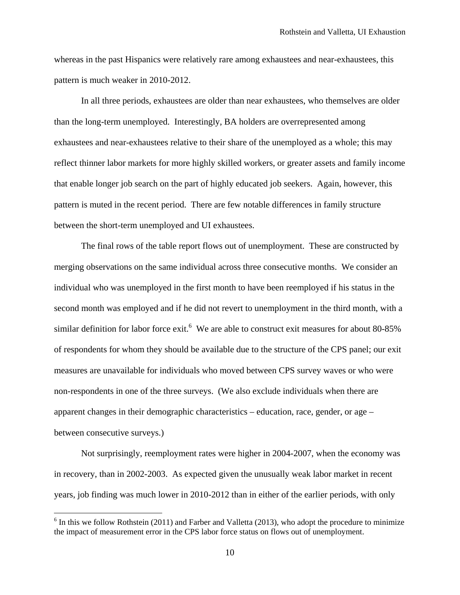whereas in the past Hispanics were relatively rare among exhaustees and near-exhaustees, this pattern is much weaker in 2010-2012.

In all three periods, exhaustees are older than near exhaustees, who themselves are older than the long-term unemployed. Interestingly, BA holders are overrepresented among exhaustees and near-exhaustees relative to their share of the unemployed as a whole; this may reflect thinner labor markets for more highly skilled workers, or greater assets and family income that enable longer job search on the part of highly educated job seekers. Again, however, this pattern is muted in the recent period. There are few notable differences in family structure between the short-term unemployed and UI exhaustees.

The final rows of the table report flows out of unemployment. These are constructed by merging observations on the same individual across three consecutive months. We consider an individual who was unemployed in the first month to have been reemployed if his status in the second month was employed and if he did not revert to unemployment in the third month, with a similar definition for labor force exit.<sup>6</sup> We are able to construct exit measures for about 80-85% of respondents for whom they should be available due to the structure of the CPS panel; our exit measures are unavailable for individuals who moved between CPS survey waves or who were non-respondents in one of the three surveys. (We also exclude individuals when there are apparent changes in their demographic characteristics – education, race, gender, or age – between consecutive surveys.)

Not surprisingly, reemployment rates were higher in 2004-2007, when the economy was in recovery, than in 2002-2003. As expected given the unusually weak labor market in recent years, job finding was much lower in 2010-2012 than in either of the earlier periods, with only

 $6$  In this we follow Rothstein (2011) and Farber and Valletta (2013), who adopt the procedure to minimize the impact of measurement error in the CPS labor force status on flows out of unemployment.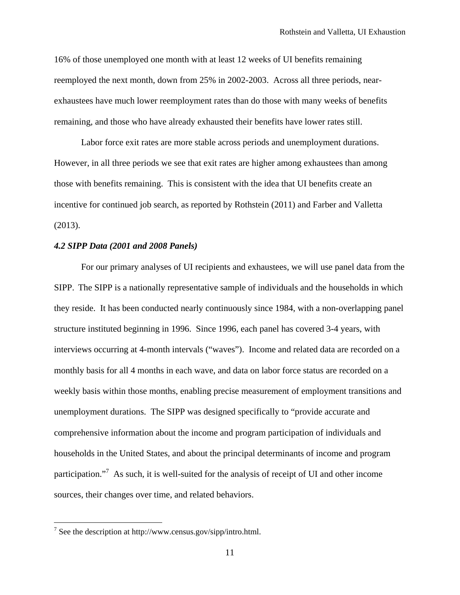16% of those unemployed one month with at least 12 weeks of UI benefits remaining reemployed the next month, down from 25% in 2002-2003. Across all three periods, nearexhaustees have much lower reemployment rates than do those with many weeks of benefits remaining, and those who have already exhausted their benefits have lower rates still.

Labor force exit rates are more stable across periods and unemployment durations. However, in all three periods we see that exit rates are higher among exhaustees than among those with benefits remaining. This is consistent with the idea that UI benefits create an incentive for continued job search, as reported by Rothstein (2011) and Farber and Valletta (2013).

#### *4.2 SIPP Data (2001 and 2008 Panels)*

For our primary analyses of UI recipients and exhaustees, we will use panel data from the SIPP. The SIPP is a nationally representative sample of individuals and the households in which they reside. It has been conducted nearly continuously since 1984, with a non-overlapping panel structure instituted beginning in 1996. Since 1996, each panel has covered 3-4 years, with interviews occurring at 4-month intervals ("waves"). Income and related data are recorded on a monthly basis for all 4 months in each wave, and data on labor force status are recorded on a weekly basis within those months, enabling precise measurement of employment transitions and unemployment durations. The SIPP was designed specifically to "provide accurate and comprehensive information about the income and program participation of individuals and households in the United States, and about the principal determinants of income and program participation."<sup>7</sup> As such, it is well-suited for the analysis of receipt of UI and other income sources, their changes over time, and related behaviors.

<sup>&</sup>lt;sup>7</sup> See the description at http://www.census.gov/sipp/intro.html.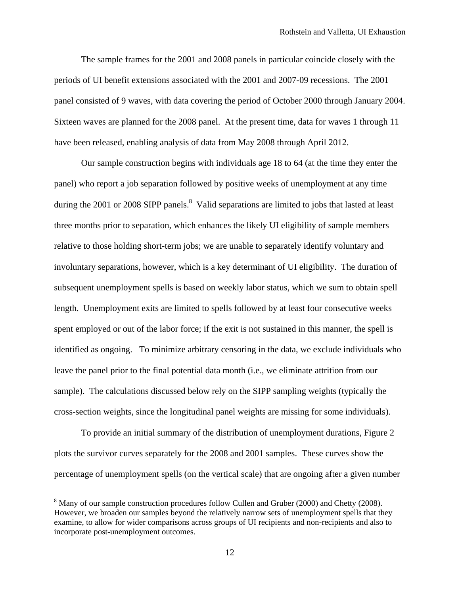The sample frames for the 2001 and 2008 panels in particular coincide closely with the periods of UI benefit extensions associated with the 2001 and 2007-09 recessions. The 2001 panel consisted of 9 waves, with data covering the period of October 2000 through January 2004. Sixteen waves are planned for the 2008 panel. At the present time, data for waves 1 through 11 have been released, enabling analysis of data from May 2008 through April 2012.

Our sample construction begins with individuals age 18 to 64 (at the time they enter the panel) who report a job separation followed by positive weeks of unemployment at any time during the 2001 or 2008 SIPP panels.<sup>8</sup> Valid separations are limited to jobs that lasted at least three months prior to separation, which enhances the likely UI eligibility of sample members relative to those holding short-term jobs; we are unable to separately identify voluntary and involuntary separations, however, which is a key determinant of UI eligibility. The duration of subsequent unemployment spells is based on weekly labor status, which we sum to obtain spell length. Unemployment exits are limited to spells followed by at least four consecutive weeks spent employed or out of the labor force; if the exit is not sustained in this manner, the spell is identified as ongoing. To minimize arbitrary censoring in the data, we exclude individuals who leave the panel prior to the final potential data month (i.e., we eliminate attrition from our sample). The calculations discussed below rely on the SIPP sampling weights (typically the cross-section weights, since the longitudinal panel weights are missing for some individuals).

To provide an initial summary of the distribution of unemployment durations, Figure 2 plots the survivor curves separately for the 2008 and 2001 samples. These curves show the percentage of unemployment spells (on the vertical scale) that are ongoing after a given number

 $8$  Many of our sample construction procedures follow Cullen and Gruber (2000) and Chetty (2008). However, we broaden our samples beyond the relatively narrow sets of unemployment spells that they examine, to allow for wider comparisons across groups of UI recipients and non-recipients and also to incorporate post-unemployment outcomes.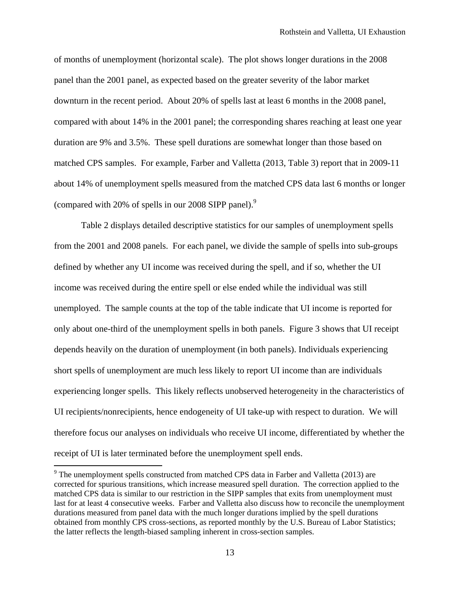of months of unemployment (horizontal scale). The plot shows longer durations in the 2008 panel than the 2001 panel, as expected based on the greater severity of the labor market downturn in the recent period. About 20% of spells last at least 6 months in the 2008 panel, compared with about 14% in the 2001 panel; the corresponding shares reaching at least one year duration are 9% and 3.5%. These spell durations are somewhat longer than those based on matched CPS samples. For example, Farber and Valletta (2013, Table 3) report that in 2009-11 about 14% of unemployment spells measured from the matched CPS data last 6 months or longer (compared with 20% of spells in our 2008 SIPP panel).9

Table 2 displays detailed descriptive statistics for our samples of unemployment spells from the 2001 and 2008 panels. For each panel, we divide the sample of spells into sub-groups defined by whether any UI income was received during the spell, and if so, whether the UI income was received during the entire spell or else ended while the individual was still unemployed. The sample counts at the top of the table indicate that UI income is reported for only about one-third of the unemployment spells in both panels. Figure 3 shows that UI receipt depends heavily on the duration of unemployment (in both panels). Individuals experiencing short spells of unemployment are much less likely to report UI income than are individuals experiencing longer spells. This likely reflects unobserved heterogeneity in the characteristics of UI recipients/nonrecipients, hence endogeneity of UI take-up with respect to duration. We will therefore focus our analyses on individuals who receive UI income, differentiated by whether the receipt of UI is later terminated before the unemployment spell ends.

 $9$  The unemployment spells constructed from matched CPS data in Farber and Valletta (2013) are corrected for spurious transitions, which increase measured spell duration. The correction applied to the matched CPS data is similar to our restriction in the SIPP samples that exits from unemployment must last for at least 4 consecutive weeks. Farber and Valletta also discuss how to reconcile the unemployment durations measured from panel data with the much longer durations implied by the spell durations obtained from monthly CPS cross-sections, as reported monthly by the U.S. Bureau of Labor Statistics; the latter reflects the length-biased sampling inherent in cross-section samples.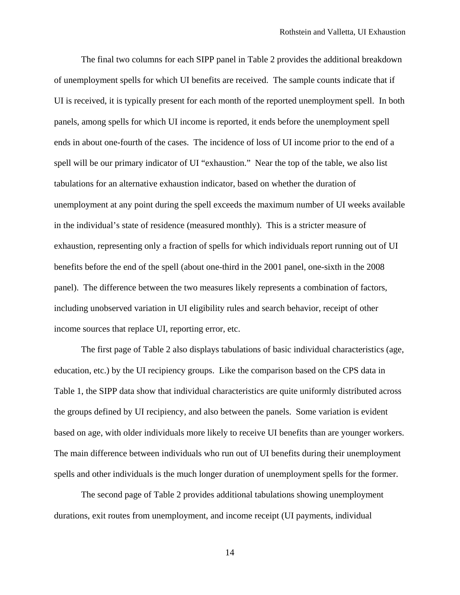The final two columns for each SIPP panel in Table 2 provides the additional breakdown of unemployment spells for which UI benefits are received. The sample counts indicate that if UI is received, it is typically present for each month of the reported unemployment spell. In both panels, among spells for which UI income is reported, it ends before the unemployment spell ends in about one-fourth of the cases. The incidence of loss of UI income prior to the end of a spell will be our primary indicator of UI "exhaustion." Near the top of the table, we also list tabulations for an alternative exhaustion indicator, based on whether the duration of unemployment at any point during the spell exceeds the maximum number of UI weeks available in the individual's state of residence (measured monthly). This is a stricter measure of exhaustion, representing only a fraction of spells for which individuals report running out of UI benefits before the end of the spell (about one-third in the 2001 panel, one-sixth in the 2008 panel). The difference between the two measures likely represents a combination of factors, including unobserved variation in UI eligibility rules and search behavior, receipt of other income sources that replace UI, reporting error, etc.

The first page of Table 2 also displays tabulations of basic individual characteristics (age, education, etc.) by the UI recipiency groups. Like the comparison based on the CPS data in Table 1, the SIPP data show that individual characteristics are quite uniformly distributed across the groups defined by UI recipiency, and also between the panels. Some variation is evident based on age, with older individuals more likely to receive UI benefits than are younger workers. The main difference between individuals who run out of UI benefits during their unemployment spells and other individuals is the much longer duration of unemployment spells for the former.

The second page of Table 2 provides additional tabulations showing unemployment durations, exit routes from unemployment, and income receipt (UI payments, individual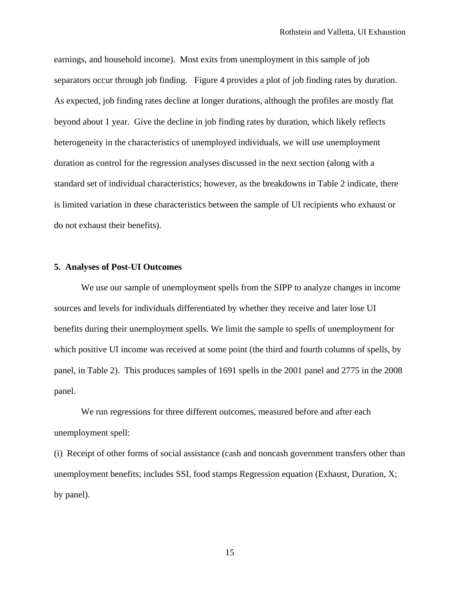earnings, and household income). Most exits from unemployment in this sample of job separators occur through job finding. Figure 4 provides a plot of job finding rates by duration. As expected, job finding rates decline at longer durations, although the profiles are mostly flat beyond about 1 year. Give the decline in job finding rates by duration, which likely reflects heterogeneity in the characteristics of unemployed individuals, we will use unemployment duration as control for the regression analyses discussed in the next section (along with a standard set of individual characteristics; however, as the breakdowns in Table 2 indicate, there is limited variation in these characteristics between the sample of UI recipients who exhaust or do not exhaust their benefits).

#### **5. Analyses of Post-UI Outcomes**

 We use our sample of unemployment spells from the SIPP to analyze changes in income sources and levels for individuals differentiated by whether they receive and later lose UI benefits during their unemployment spells. We limit the sample to spells of unemployment for which positive UI income was received at some point (the third and fourth columns of spells, by panel, in Table 2). This produces samples of 1691 spells in the 2001 panel and 2775 in the 2008 panel.

 We run regressions for three different outcomes, measured before and after each unemployment spell:

(i) Receipt of other forms of social assistance (cash and noncash government transfers other than unemployment benefits; includes SSI, food stamps Regression equation (Exhaust, Duration, X; by panel).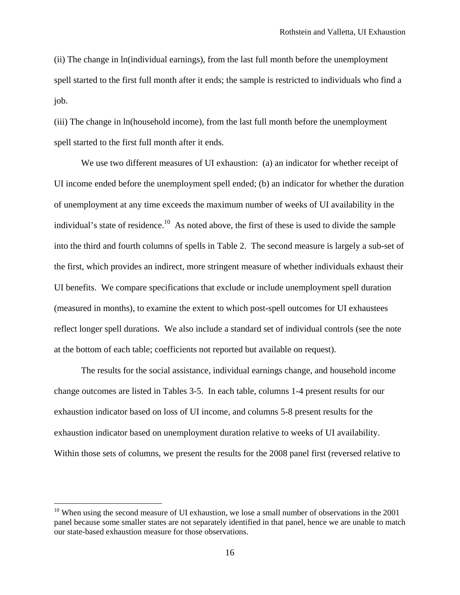(ii) The change in ln(individual earnings), from the last full month before the unemployment spell started to the first full month after it ends; the sample is restricted to individuals who find a job.

(iii) The change in ln(household income), from the last full month before the unemployment spell started to the first full month after it ends.

 We use two different measures of UI exhaustion: (a) an indicator for whether receipt of UI income ended before the unemployment spell ended; (b) an indicator for whether the duration of unemployment at any time exceeds the maximum number of weeks of UI availability in the individual's state of residence.<sup>10</sup> As noted above, the first of these is used to divide the sample into the third and fourth columns of spells in Table 2. The second measure is largely a sub-set of the first, which provides an indirect, more stringent measure of whether individuals exhaust their UI benefits. We compare specifications that exclude or include unemployment spell duration (measured in months), to examine the extent to which post-spell outcomes for UI exhaustees reflect longer spell durations. We also include a standard set of individual controls (see the note at the bottom of each table; coefficients not reported but available on request).

 The results for the social assistance, individual earnings change, and household income change outcomes are listed in Tables 3-5. In each table, columns 1-4 present results for our exhaustion indicator based on loss of UI income, and columns 5-8 present results for the exhaustion indicator based on unemployment duration relative to weeks of UI availability. Within those sets of columns, we present the results for the 2008 panel first (reversed relative to

 $10$  When using the second measure of UI exhaustion, we lose a small number of observations in the 2001 panel because some smaller states are not separately identified in that panel, hence we are unable to match our state-based exhaustion measure for those observations.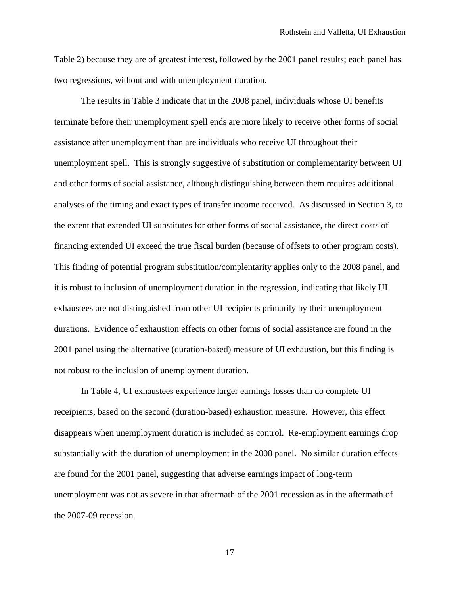Table 2) because they are of greatest interest, followed by the 2001 panel results; each panel has two regressions, without and with unemployment duration.

 The results in Table 3 indicate that in the 2008 panel, individuals whose UI benefits terminate before their unemployment spell ends are more likely to receive other forms of social assistance after unemployment than are individuals who receive UI throughout their unemployment spell. This is strongly suggestive of substitution or complementarity between UI and other forms of social assistance, although distinguishing between them requires additional analyses of the timing and exact types of transfer income received. As discussed in Section 3, to the extent that extended UI substitutes for other forms of social assistance, the direct costs of financing extended UI exceed the true fiscal burden (because of offsets to other program costs). This finding of potential program substitution/complentarity applies only to the 2008 panel, and it is robust to inclusion of unemployment duration in the regression, indicating that likely UI exhaustees are not distinguished from other UI recipients primarily by their unemployment durations. Evidence of exhaustion effects on other forms of social assistance are found in the 2001 panel using the alternative (duration-based) measure of UI exhaustion, but this finding is not robust to the inclusion of unemployment duration.

 In Table 4, UI exhaustees experience larger earnings losses than do complete UI receipients, based on the second (duration-based) exhaustion measure. However, this effect disappears when unemployment duration is included as control. Re-employment earnings drop substantially with the duration of unemployment in the 2008 panel. No similar duration effects are found for the 2001 panel, suggesting that adverse earnings impact of long-term unemployment was not as severe in that aftermath of the 2001 recession as in the aftermath of the 2007-09 recession.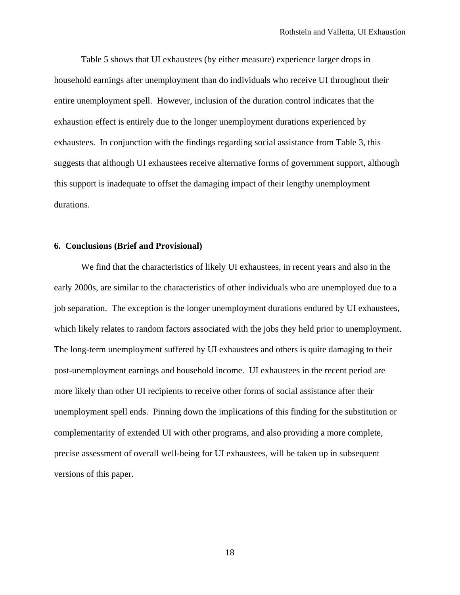Table 5 shows that UI exhaustees (by either measure) experience larger drops in household earnings after unemployment than do individuals who receive UI throughout their entire unemployment spell. However, inclusion of the duration control indicates that the exhaustion effect is entirely due to the longer unemployment durations experienced by exhaustees. In conjunction with the findings regarding social assistance from Table 3, this suggests that although UI exhaustees receive alternative forms of government support, although this support is inadequate to offset the damaging impact of their lengthy unemployment durations.

#### **6. Conclusions (Brief and Provisional)**

 We find that the characteristics of likely UI exhaustees, in recent years and also in the early 2000s, are similar to the characteristics of other individuals who are unemployed due to a job separation. The exception is the longer unemployment durations endured by UI exhaustees, which likely relates to random factors associated with the jobs they held prior to unemployment. The long-term unemployment suffered by UI exhaustees and others is quite damaging to their post-unemployment earnings and household income. UI exhaustees in the recent period are more likely than other UI recipients to receive other forms of social assistance after their unemployment spell ends. Pinning down the implications of this finding for the substitution or complementarity of extended UI with other programs, and also providing a more complete, precise assessment of overall well-being for UI exhaustees, will be taken up in subsequent versions of this paper.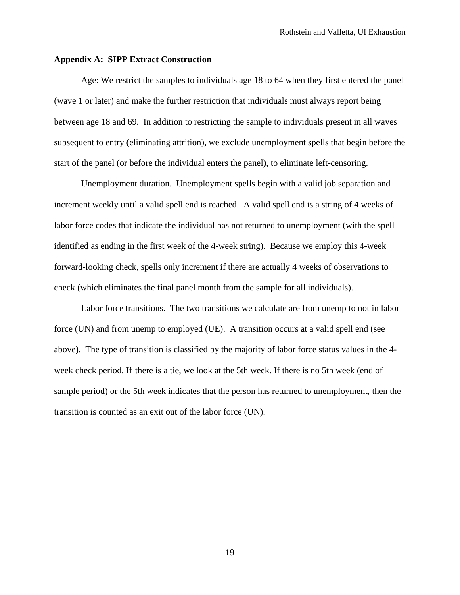#### **Appendix A: SIPP Extract Construction**

Age: We restrict the samples to individuals age 18 to 64 when they first entered the panel (wave 1 or later) and make the further restriction that individuals must always report being between age 18 and 69. In addition to restricting the sample to individuals present in all waves subsequent to entry (eliminating attrition), we exclude unemployment spells that begin before the start of the panel (or before the individual enters the panel), to eliminate left-censoring.

Unemployment duration. Unemployment spells begin with a valid job separation and increment weekly until a valid spell end is reached. A valid spell end is a string of 4 weeks of labor force codes that indicate the individual has not returned to unemployment (with the spell identified as ending in the first week of the 4-week string). Because we employ this 4-week forward-looking check, spells only increment if there are actually 4 weeks of observations to check (which eliminates the final panel month from the sample for all individuals).

Labor force transitions. The two transitions we calculate are from unemp to not in labor force (UN) and from unemp to employed (UE). A transition occurs at a valid spell end (see above). The type of transition is classified by the majority of labor force status values in the 4 week check period. If there is a tie, we look at the 5th week. If there is no 5th week (end of sample period) or the 5th week indicates that the person has returned to unemployment, then the transition is counted as an exit out of the labor force (UN).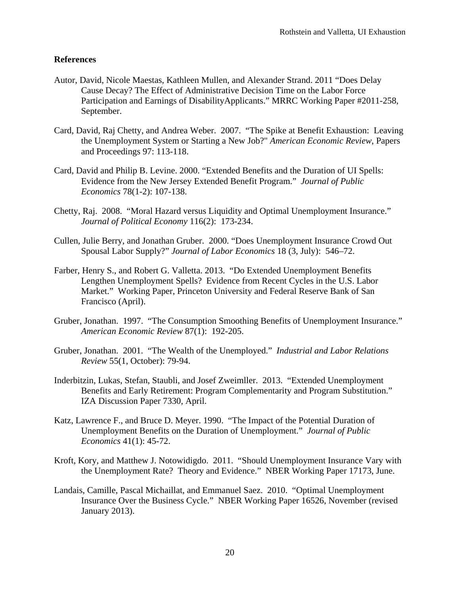## **References**

- Autor, David, Nicole Maestas, Kathleen Mullen, and Alexander Strand. 2011 "Does Delay Cause Decay? The Effect of Administrative Decision Time on the Labor Force Participation and Earnings of DisabilityApplicants." MRRC Working Paper #2011-258, September.
- Card, David, Raj Chetty, and Andrea Weber. 2007. "The Spike at Benefit Exhaustion: Leaving the Unemployment System or Starting a New Job?" *American Economic Review*, Papers and Proceedings 97: 113-118.
- Card, David and Philip B. Levine. 2000. "Extended Benefits and the Duration of UI Spells: Evidence from the New Jersey Extended Benefit Program." *Journal of Public Economics* 78(1-2): 107-138.
- Chetty, Raj. 2008. "Moral Hazard versus Liquidity and Optimal Unemployment Insurance." *Journal of Political Economy* 116(2): 173-234.
- Cullen, Julie Berry, and Jonathan Gruber. 2000. "Does Unemployment Insurance Crowd Out Spousal Labor Supply?" *Journal of Labor Economics* 18 (3, July): 546–72.
- Farber, Henry S., and Robert G. Valletta. 2013. "Do Extended Unemployment Benefits Lengthen Unemployment Spells? Evidence from Recent Cycles in the U.S. Labor Market." Working Paper, Princeton University and Federal Reserve Bank of San Francisco (April).
- Gruber, Jonathan. 1997. "The Consumption Smoothing Benefits of Unemployment Insurance." *American Economic Review* 87(1): 192-205.
- Gruber, Jonathan. 2001. "The Wealth of the Unemployed." *Industrial and Labor Relations Review* 55(1, October): 79-94.
- Inderbitzin, Lukas, Stefan, Staubli, and Josef Zweimller. 2013. "Extended Unemployment Benefits and Early Retirement: Program Complementarity and Program Substitution." IZA Discussion Paper 7330, April.
- Katz, Lawrence F., and Bruce D. Meyer. 1990. "The Impact of the Potential Duration of Unemployment Benefits on the Duration of Unemployment." *Journal of Public Economics* 41(1): 45-72.
- Kroft, Kory, and Matthew J. Notowidigdo. 2011. "Should Unemployment Insurance Vary with the Unemployment Rate? Theory and Evidence." NBER Working Paper 17173, June.
- Landais, Camille, Pascal Michaillat, and Emmanuel Saez. 2010. "Optimal Unemployment Insurance Over the Business Cycle." NBER Working Paper 16526, November (revised January 2013).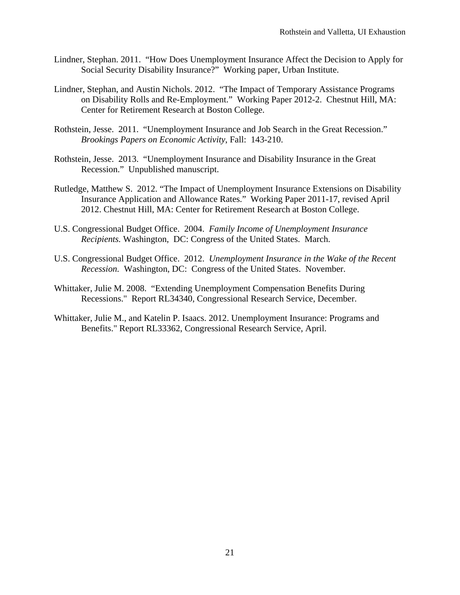- Lindner, Stephan. 2011. "How Does Unemployment Insurance Affect the Decision to Apply for Social Security Disability Insurance?" Working paper, Urban Institute.
- Lindner, Stephan, and Austin Nichols. 2012. "The Impact of Temporary Assistance Programs on Disability Rolls and Re-Employment." Working Paper 2012-2. Chestnut Hill, MA: Center for Retirement Research at Boston College.
- Rothstein, Jesse. 2011. "Unemployment Insurance and Job Search in the Great Recession." *Brookings Papers on Economic Activity*, Fall: 143-210.
- Rothstein, Jesse. 2013. "Unemployment Insurance and Disability Insurance in the Great Recession." Unpublished manuscript.
- Rutledge, Matthew S. 2012. "The Impact of Unemployment Insurance Extensions on Disability Insurance Application and Allowance Rates." Working Paper 2011-17, revised April 2012. Chestnut Hill, MA: Center for Retirement Research at Boston College.
- U.S. Congressional Budget Office. 2004. *Family Income of Unemployment Insurance Recipients.* Washington, DC: Congress of the United States. March.
- U.S. Congressional Budget Office. 2012. *Unemployment Insurance in the Wake of the Recent Recession.* Washington, DC: Congress of the United States. November.
- Whittaker, Julie M. 2008. "Extending Unemployment Compensation Benefits During Recessions." Report RL34340, Congressional Research Service, December.
- Whittaker, Julie M., and Katelin P. Isaacs. 2012. Unemployment Insurance: Programs and Benefits." Report RL33362, Congressional Research Service, April.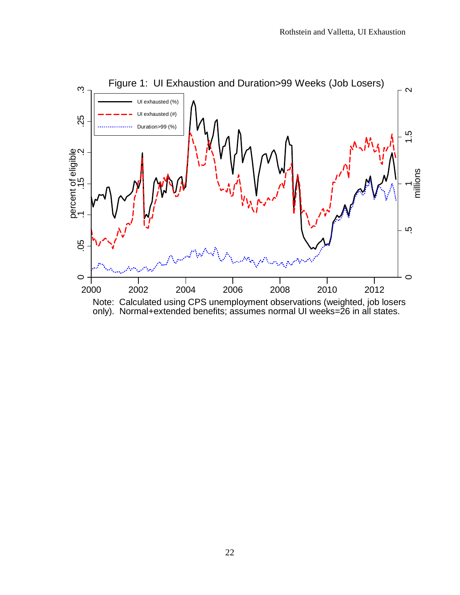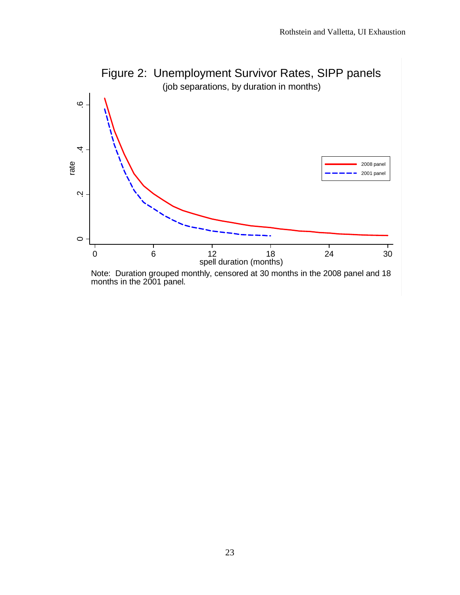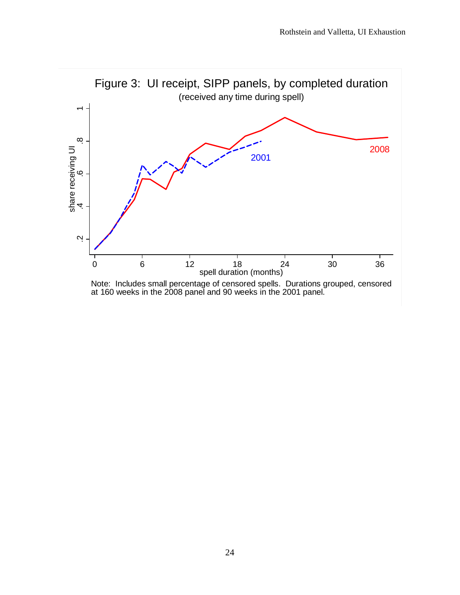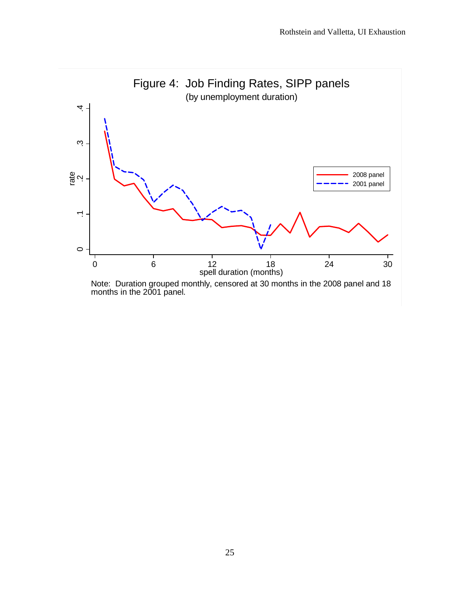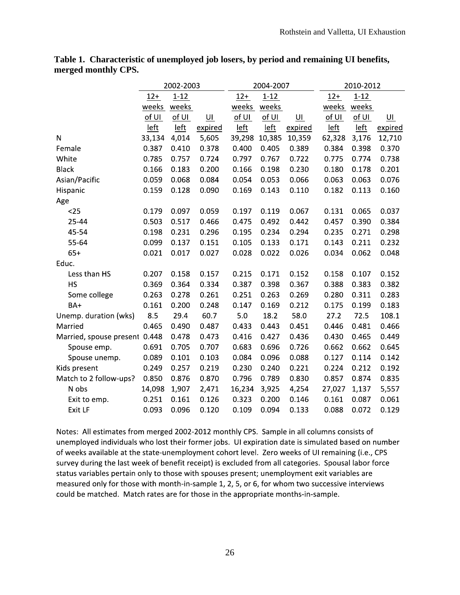|                               | 2002-2003 |          |         |        | 2004-2007   |         | 2010-2012 |          |         |
|-------------------------------|-----------|----------|---------|--------|-------------|---------|-----------|----------|---------|
|                               | $12+$     | $1 - 12$ |         | $12+$  | $1 - 12$    |         | $12+$     | $1 - 12$ |         |
|                               | weeks     | weeks    |         | weeks  | weeks       |         | weeks     | weeks    |         |
|                               | of UI     | of UI    | $U$     | of UI  | of <u>U</u> | $U$     | of UI     | of UI    | $U$     |
|                               | left      | left     | expired | left   | left        | expired | left      | left     | expired |
| N                             | 33,134    | 4,014    | 5,605   | 39,298 | 10,385      | 10,359  | 62,328    | 3,176    | 12,710  |
| Female                        | 0.387     | 0.410    | 0.378   | 0.400  | 0.405       | 0.389   | 0.384     | 0.398    | 0.370   |
| White                         | 0.785     | 0.757    | 0.724   | 0.797  | 0.767       | 0.722   | 0.775     | 0.774    | 0.738   |
| <b>Black</b>                  | 0.166     | 0.183    | 0.200   | 0.166  | 0.198       | 0.230   | 0.180     | 0.178    | 0.201   |
| Asian/Pacific                 | 0.059     | 0.068    | 0.084   | 0.054  | 0.053       | 0.066   | 0.063     | 0.063    | 0.076   |
| Hispanic                      | 0.159     | 0.128    | 0.090   | 0.169  | 0.143       | 0.110   | 0.182     | 0.113    | 0.160   |
| Age                           |           |          |         |        |             |         |           |          |         |
| $25$                          | 0.179     | 0.097    | 0.059   | 0.197  | 0.119       | 0.067   | 0.131     | 0.065    | 0.037   |
| 25-44                         | 0.503     | 0.517    | 0.466   | 0.475  | 0.492       | 0.442   | 0.457     | 0.390    | 0.384   |
| 45-54                         | 0.198     | 0.231    | 0.296   | 0.195  | 0.234       | 0.294   | 0.235     | 0.271    | 0.298   |
| 55-64                         | 0.099     | 0.137    | 0.151   | 0.105  | 0.133       | 0.171   | 0.143     | 0.211    | 0.232   |
| $65+$                         | 0.021     | 0.017    | 0.027   | 0.028  | 0.022       | 0.026   | 0.034     | 0.062    | 0.048   |
| Educ.                         |           |          |         |        |             |         |           |          |         |
| Less than HS                  | 0.207     | 0.158    | 0.157   | 0.215  | 0.171       | 0.152   | 0.158     | 0.107    | 0.152   |
| HS                            | 0.369     | 0.364    | 0.334   | 0.387  | 0.398       | 0.367   | 0.388     | 0.383    | 0.382   |
| Some college                  | 0.263     | 0.278    | 0.261   | 0.251  | 0.263       | 0.269   | 0.280     | 0.311    | 0.283   |
| BA+                           | 0.161     | 0.200    | 0.248   | 0.147  | 0.169       | 0.212   | 0.175     | 0.199    | 0.183   |
| Unemp. duration (wks)         | 8.5       | 29.4     | 60.7    | 5.0    | 18.2        | 58.0    | 27.2      | 72.5     | 108.1   |
| Married                       | 0.465     | 0.490    | 0.487   | 0.433  | 0.443       | 0.451   | 0.446     | 0.481    | 0.466   |
| Married, spouse present 0.448 |           | 0.478    | 0.473   | 0.416  | 0.427       | 0.436   | 0.430     | 0.465    | 0.449   |
| Spouse emp.                   | 0.691     | 0.705    | 0.707   | 0.683  | 0.696       | 0.726   | 0.662     | 0.662    | 0.645   |
| Spouse unemp.                 | 0.089     | 0.101    | 0.103   | 0.084  | 0.096       | 0.088   | 0.127     | 0.114    | 0.142   |
| Kids present                  | 0.249     | 0.257    | 0.219   | 0.230  | 0.240       | 0.221   | 0.224     | 0.212    | 0.192   |
| Match to 2 follow-ups?        | 0.850     | 0.876    | 0.870   | 0.796  | 0.789       | 0.830   | 0.857     | 0.874    | 0.835   |
| N obs                         | 14,098    | 1,907    | 2,471   | 16,234 | 3,925       | 4,254   | 27,027    | 1,137    | 5,557   |
| Exit to emp.                  | 0.251     | 0.161    | 0.126   | 0.323  | 0.200       | 0.146   | 0.161     | 0.087    | 0.061   |
| Exit LF                       | 0.093     | 0.096    | 0.120   | 0.109  | 0.094       | 0.133   | 0.088     | 0.072    | 0.129   |

**Table 1. Characteristic of unemployed job losers, by period and remaining UI benefits, merged monthly CPS.** 

Notes: All estimates from merged 2002-2012 monthly CPS. Sample in all columns consists of unemployed individuals who lost their former jobs. UI expiration date is simulated based on number of weeks available at the state-unemployment cohort level. Zero weeks of UI remaining (i.e., CPS survey during the last week of benefit receipt) is excluded from all categories. Spousal labor force status variables pertain only to those with spouses present; unemployment exit variables are measured only for those with month-in-sample 1, 2, 5, or 6, for whom two successive interviews could be matched. Match rates are for those in the appropriate months-in-sample.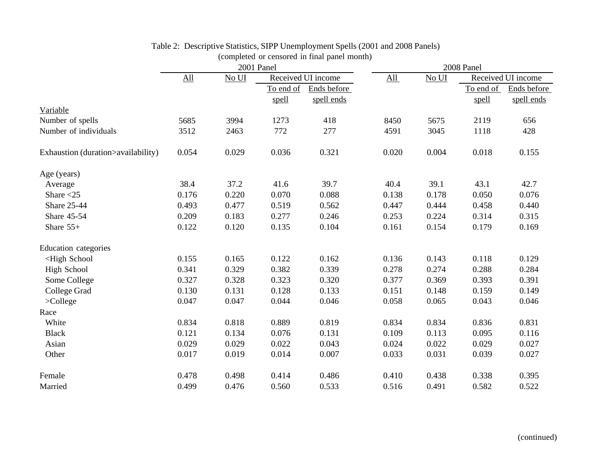|                                                                                                                                                |                            |       | 2001 Panel |                    | 2008 Panel |       |           |                    |  |
|------------------------------------------------------------------------------------------------------------------------------------------------|----------------------------|-------|------------|--------------------|------------|-------|-----------|--------------------|--|
|                                                                                                                                                | $\underline{\mathrm{All}}$ | No UI |            | Received UI income | All        | No UI |           | Received UI income |  |
|                                                                                                                                                |                            |       | To end of  | Ends before        |            |       | To end of | Ends before        |  |
|                                                                                                                                                |                            |       | spell      | spell ends         |            |       | spell     | spell ends         |  |
| Variable                                                                                                                                       |                            |       |            |                    |            |       |           |                    |  |
| Number of spells                                                                                                                               | 5685                       | 3994  | 1273       | 418                | 8450       | 5675  | 2119      | 656                |  |
| Number of individuals                                                                                                                          | 3512                       | 2463  | 772        | 277                | 4591       | 3045  | 1118      | 428                |  |
| Exhaustion (duration>availability)                                                                                                             | 0.054                      | 0.029 | 0.036      | 0.321              | 0.020      | 0.004 | 0.018     | 0.155              |  |
| Age (years)                                                                                                                                    |                            |       |            |                    |            |       |           |                    |  |
| Average                                                                                                                                        | 38.4                       | 37.2  | 41.6       | 39.7               | 40.4       | 39.1  | 43.1      | 42.7               |  |
| Share $<$ 25                                                                                                                                   | 0.176                      | 0.220 | 0.070      | 0.088              | 0.138      | 0.178 | 0.050     | 0.076              |  |
| <b>Share 25-44</b>                                                                                                                             | 0.493                      | 0.477 | 0.519      | 0.562              | 0.447      | 0.444 | 0.458     | 0.440              |  |
| Share 45-54                                                                                                                                    | 0.209                      | 0.183 | 0.277      | 0.246              | 0.253      | 0.224 | 0.314     | 0.315              |  |
| Share $55+$                                                                                                                                    | 0.122                      | 0.120 | 0.135      | 0.104              | 0.161      | 0.154 | 0.179     | 0.169              |  |
| <b>Education</b> categories                                                                                                                    |                            |       |            |                    |            |       |           |                    |  |
| <high school<="" td=""><td>0.155</td><td>0.165</td><td>0.122</td><td>0.162</td><td>0.136</td><td>0.143</td><td>0.118</td><td>0.129</td></high> | 0.155                      | 0.165 | 0.122      | 0.162              | 0.136      | 0.143 | 0.118     | 0.129              |  |
| <b>High School</b>                                                                                                                             | 0.341                      | 0.329 | 0.382      | 0.339              | 0.278      | 0.274 | 0.288     | 0.284              |  |
| Some College                                                                                                                                   | 0.327                      | 0.328 | 0.323      | 0.320              | 0.377      | 0.369 | 0.393     | 0.391              |  |
| College Grad                                                                                                                                   | 0.130                      | 0.131 | 0.128      | 0.133              | 0.151      | 0.148 | 0.159     | 0.149              |  |
| $>$ College                                                                                                                                    | 0.047                      | 0.047 | 0.044      | 0.046              | 0.058      | 0.065 | 0.043     | 0.046              |  |
| Race                                                                                                                                           |                            |       |            |                    |            |       |           |                    |  |
| White                                                                                                                                          | 0.834                      | 0.818 | 0.889      | 0.819              | 0.834      | 0.834 | 0.836     | 0.831              |  |
| <b>Black</b>                                                                                                                                   | 0.121                      | 0.134 | 0.076      | 0.131              | 0.109      | 0.113 | 0.095     | 0.116              |  |
| Asian                                                                                                                                          | 0.029                      | 0.029 | 0.022      | 0.043              | 0.024      | 0.022 | 0.029     | 0.027              |  |
| Other                                                                                                                                          | 0.017                      | 0.019 | 0.014      | 0.007              | 0.033      | 0.031 | 0.039     | 0.027              |  |
| Female                                                                                                                                         | 0.478                      | 0.498 | 0.414      | 0.486              | 0.410      | 0.438 | 0.338     | 0.395              |  |
| Married                                                                                                                                        | 0.499                      | 0.476 | 0.560      | 0.533              | 0.516      | 0.491 | 0.582     | 0.522              |  |

# Table 2: Descriptive Statistics, SIPP Unemployment Spells (2001 and 2008 Panels)

(completed or censored in final panel month)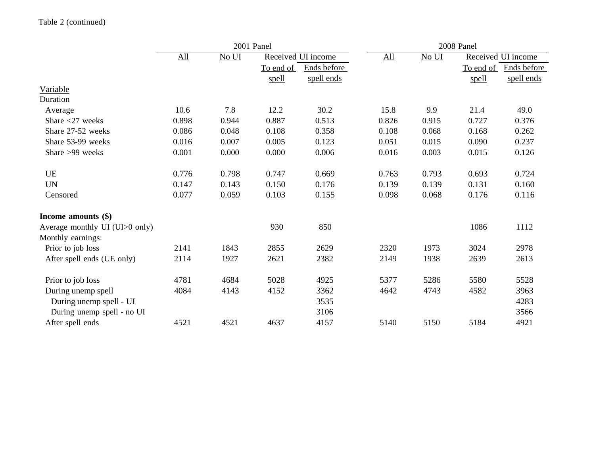|                                | 2001 Panel        |                   |           |                    | 2008 Panel  |       |           |                    |  |
|--------------------------------|-------------------|-------------------|-----------|--------------------|-------------|-------|-----------|--------------------|--|
|                                | $\underline{All}$ | N <sub>0</sub> UI |           | Received UI income | $\Delta$ ll | No UI |           | Received UI income |  |
|                                |                   |                   | To end of | Ends before        |             |       | To end of | Ends before        |  |
|                                |                   |                   | spell     | spell ends         |             |       | spell     | spell ends         |  |
| Variable                       |                   |                   |           |                    |             |       |           |                    |  |
| Duration                       |                   |                   |           |                    |             |       |           |                    |  |
| Average                        | 10.6              | 7.8               | 12.2      | 30.2               | 15.8        | 9.9   | 21.4      | 49.0               |  |
| Share $<$ 27 weeks             | 0.898             | 0.944             | 0.887     | 0.513              | 0.826       | 0.915 | 0.727     | 0.376              |  |
| Share 27-52 weeks              | 0.086             | 0.048             | 0.108     | 0.358              | 0.108       | 0.068 | 0.168     | 0.262              |  |
| Share 53-99 weeks              | 0.016             | 0.007             | 0.005     | 0.123              | 0.051       | 0.015 | 0.090     | 0.237              |  |
| Share >99 weeks                | 0.001             | 0.000             | 0.000     | 0.006              | 0.016       | 0.003 | 0.015     | 0.126              |  |
| <b>UE</b>                      | 0.776             | 0.798             | 0.747     | 0.669              | 0.763       | 0.793 | 0.693     | 0.724              |  |
| <b>UN</b>                      | 0.147             | 0.143             | 0.150     | 0.176              | 0.139       | 0.139 | 0.131     | 0.160              |  |
| Censored                       | 0.077             | 0.059             | 0.103     | 0.155              | 0.098       | 0.068 | 0.176     | 0.116              |  |
| Income amounts (\$)            |                   |                   |           |                    |             |       |           |                    |  |
| Average monthly UI (UI>0 only) |                   |                   | 930       | 850                |             |       | 1086      | 1112               |  |
| Monthly earnings:              |                   |                   |           |                    |             |       |           |                    |  |
| Prior to job loss              | 2141              | 1843              | 2855      | 2629               | 2320        | 1973  | 3024      | 2978               |  |
| After spell ends (UE only)     | 2114              | 1927              | 2621      | 2382               | 2149        | 1938  | 2639      | 2613               |  |
| Prior to job loss              | 4781              | 4684              | 5028      | 4925               | 5377        | 5286  | 5580      | 5528               |  |
| During unemp spell             | 4084              | 4143              | 4152      | 3362               | 4642        | 4743  | 4582      | 3963               |  |
| During unemp spell - UI        |                   |                   |           | 3535               |             |       |           | 4283               |  |
| During unemp spell - no UI     |                   |                   |           | 3106               |             |       |           | 3566               |  |
| After spell ends               | 4521              | 4521              | 4637      | 4157               | 5140        | 5150  | 5184      | 4921               |  |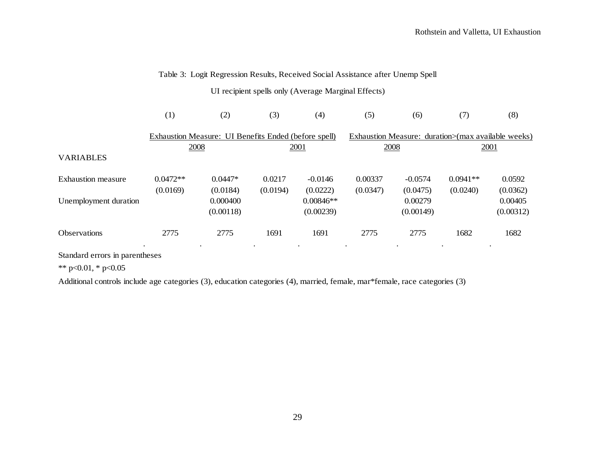## Table 3: Logit Regression Results, Received Social Assistance after Unemp Spell

UI recipient spells only (Average Marginal Effects)

|                           | (1)        | (2)                                                  | (3)      | (4)         | (5)      | (6)                                                | (7)        | (8)       |
|---------------------------|------------|------------------------------------------------------|----------|-------------|----------|----------------------------------------------------|------------|-----------|
|                           |            | Exhaustion Measure: UI Benefits Ended (before spell) |          |             |          | Exhaustion Measure: duration>(max available weeks) |            |           |
|                           | 2008       |                                                      |          | 2001        | 2008     |                                                    |            | 2001      |
| VARIABLES                 |            |                                                      |          |             |          |                                                    |            |           |
| <b>Exhaustion measure</b> | $0.0472**$ | $0.0447*$                                            | 0.0217   | $-0.0146$   | 0.00337  | $-0.0574$                                          | $0.0941**$ | 0.0592    |
|                           | (0.0169)   | (0.0184)                                             | (0.0194) | (0.0222)    | (0.0347) | (0.0475)                                           | (0.0240)   | (0.0362)  |
| Unemployment duration     |            | 0.000400                                             |          | $0.00846**$ |          | 0.00279                                            |            | 0.00405   |
|                           |            | (0.00118)                                            |          | (0.00239)   |          | (0.00149)                                          |            | (0.00312) |
| Observations              | 2775       | 2775                                                 | 1691     | 1691        | 2775     | 2775                                               | 1682       | 1682      |

Standard errors in parentheses

\*\* p<0.01, \* p<0.05

Additional controls include age categories (3), education categories (4), married, female, mar\*female, race categories (3)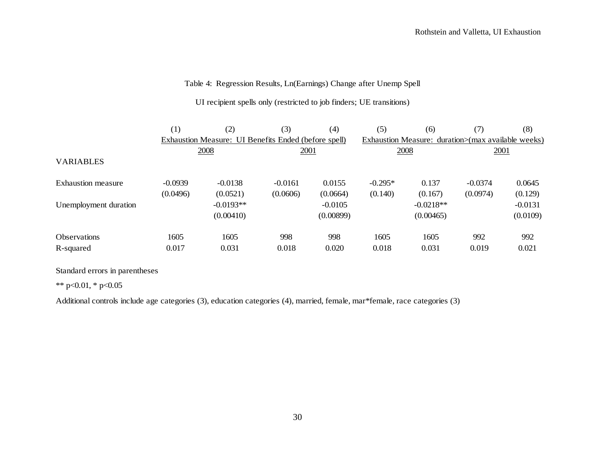### Table 4: Regression Results, Ln(Earnings) Change after Unemp Spell

UI recipient spells only (restricted to job finders; UE transitions)

|                       | (1)       | (2)                                                  | (3)       | (4)                                                | (5)       | (6)         | (7)       | (8)       |
|-----------------------|-----------|------------------------------------------------------|-----------|----------------------------------------------------|-----------|-------------|-----------|-----------|
|                       |           | Exhaustion Measure: UI Benefits Ended (before spell) |           | Exhaustion Measure: duration>(max available weeks) |           |             |           |           |
|                       |           | 2008                                                 | 2001      |                                                    |           | 2008        | 2001      |           |
| <b>VARIABLES</b>      |           |                                                      |           |                                                    |           |             |           |           |
| Exhaustion measure    | $-0.0939$ | $-0.0138$                                            | $-0.0161$ | 0.0155                                             | $-0.295*$ | 0.137       | $-0.0374$ | 0.0645    |
|                       | (0.0496)  | (0.0521)                                             | (0.0606)  | (0.0664)                                           | (0.140)   | (0.167)     | (0.0974)  | (0.129)   |
| Unemployment duration |           | $-0.0193**$                                          |           | $-0.0105$                                          |           | $-0.0218**$ |           | $-0.0131$ |
|                       |           | (0.00410)                                            |           | (0.00899)                                          |           | (0.00465)   |           | (0.0109)  |
| <b>Observations</b>   | 1605      | 1605                                                 | 998       | 998                                                | 1605      | 1605        | 992       | 992       |
| R-squared             | 0.017     | 0.031                                                | 0.018     | 0.020                                              | 0.018     | 0.031       | 0.019     | 0.021     |

Standard errors in parentheses

\*\* p<0.01, \* p<0.05

Additional controls include age categories (3), education categories (4), married, female, mar\*female, race categories (3)